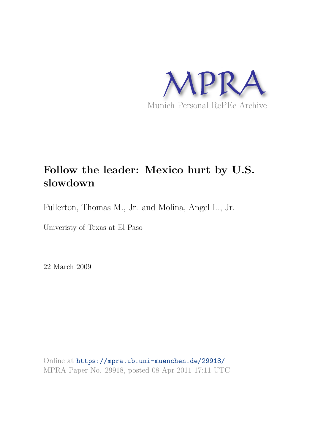

# **Follow the leader: Mexico hurt by U.S. slowdown**

Fullerton, Thomas M., Jr. and Molina, Angel L., Jr.

Univeristy of Texas at El Paso

22 March 2009

Online at https://mpra.ub.uni-muenchen.de/29918/ MPRA Paper No. 29918, posted 08 Apr 2011 17:11 UTC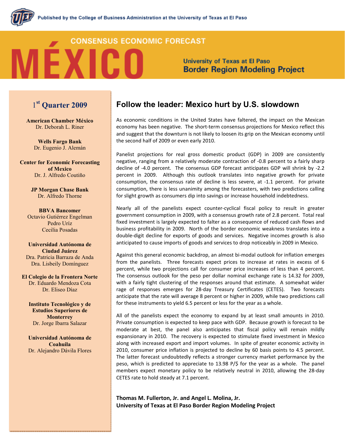## **CONSENSUS ECONOMIC FORECAST**

**University of Texas at El Paso Border Region Modeling Project** 

## 1st Quarter 2009

**American Chamber México** Dr. Deborah L. Riner

> **Wells Fargo Bank** Dr. Eugenio J. Alemán

**Center for Economic Forecasting** of Mexico Dr. J. Alfredo Coutiño

> **JP Morgan Chase Bank** Dr. Alfredo Thorne

**BBVA Bancomer** Octavio Gutiérrez Engelman Pedro Uríz Cecilia Posadas

Universidad Autónoma de Ciudad Juárez Dra. Patricia Barraza de Anda Dra. Lisbeily Domínguez

El Colegio de la Frontera Norte Dr. Eduardo Mendoza Cota Dr. Eliseo Díaz

Instituto Tecnológico y de **Estudios Superiores de Monterrey** Dr. Jorge Ibarra Salazar

Universidad Autónoma de Coahuila Dr. Alejandro Dávila Flores

## Follow the leader: Mexico hurt by U.S. slowdown

As economic conditions in the United States have faltered, the impact on the Mexican economy has been negative. The short-term consensus projections for Mexico reflect this and suggest that the downturn is not likely to loosen its grip on the Mexican economy until the second half of 2009 or even early 2010.

Panelist projections for real gross domestic product (GDP) in 2009 are consistently negative, ranging from a relatively moderate contraction of -0.8 percent to a fairly sharp decline of -4.0 percent. The consensus GDP forecast anticipates GDP will shrink by -2.2 percent in 2009. Although this outlook translates into negative growth for private consumption, the consensus rate of decline is less severe, at -1.1 percent. For private consumption, there is less unanimity among the forecasters, with two predictions calling for slight growth as consumers dip into savings or increase household indebtedness.

Nearly all of the panelists expect counter-cyclical fiscal policy to result in greater government consumption in 2009, with a consensus growth rate of 2.8 percent. Total real fixed investment is largely expected to falter as a consequence of reduced cash flows and business profitability in 2009. North of the border economic weakness translates into a double-digit decline for exports of goods and services. Negative incomes growth is also anticipated to cause imports of goods and services to drop noticeably in 2009 in Mexico.

Against this general economic backdrop, an almost bi-modal outlook for inflation emerges from the panelists. Three forecasts expect prices to increase at rates in excess of 6 percent, while two projections call for consumer price increases of less than 4 percent. The consensus outlook for the peso per dollar nominal exchange rate is 14.32 for 2009, with a fairly tight clustering of the responses around that estimate. A somewhat wider rage of responses emerges for 28-day Treasury Certificates (CETES). Two forecasts anticipate that the rate will average 8 percent or higher in 2009, while two predictions call for these instruments to yield 6.5 percent or less for the year as a whole.

All of the panelists expect the economy to expand by at least small amounts in 2010. Private consumption is expected to keep pace with GDP. Because growth is forecast to be moderate at best, the panel also anticipates that fiscal policy will remain mildly expansionary in 2010. The recovery is expected to stimulate fixed investment in Mexico along with increased export and import volumes. In spite of greater economic activity in 2010, consumer price inflation is projected to decline by 60 basis points to 4.5 percent. The latter forecast undoubtedly reflects a stronger currency market performance by the peso, which is predicted to appreciate to 13.98 P/\$ for the year as a whole. The panel members expect monetary policy to be relatively neutral in 2010, allowing the 28-day CETES rate to hold steady at 7.1 percent.

Thomas M. Fullerton, Jr. and Angel L. Molina, Jr. University of Texas at El Paso Border Region Modeling Project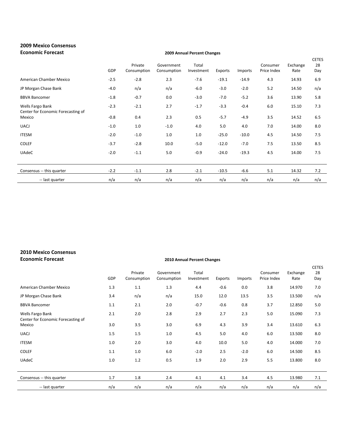| <b>2009 Mexico Consensus</b><br><b>Economic Forecast</b> | 2009 Annual Percent Changes |                        |                           |                     |         |         |                         |                  |                           |
|----------------------------------------------------------|-----------------------------|------------------------|---------------------------|---------------------|---------|---------|-------------------------|------------------|---------------------------|
|                                                          | GDP                         | Private<br>Consumption | Government<br>Consumption | Total<br>Investment | Exports | Imports | Consumer<br>Price Index | Exchange<br>Rate | <b>CETES</b><br>28<br>Day |
| American Chamber Mexico                                  | $-2.5$                      | $-2.8$                 | 2.3                       | $-7.6$              | $-19.1$ | $-14.9$ | 4.3                     | 14.93            | 6.9                       |
| JP Morgan Chase Bank                                     | $-4.0$                      | n/a                    | n/a                       | $-6.0$              | $-3.0$  | $-2.0$  | 5.2                     | 14.50            | n/a                       |
| <b>BBVA Bancomer</b>                                     | $-1.8$                      | $-0.7$                 | 0.0                       | $-3.0$              | $-7.0$  | $-5.2$  | 3.6                     | 13.90            | 5.8                       |
| Wells Fargo Bank<br>Center for Economic Forecasting of   | $-2.3$                      | $-2.1$                 | 2.7                       | $-1.7$              | $-3.3$  | $-0.4$  | 6.0                     | 15.10            | 7.3                       |
| Mexico                                                   | $-0.8$                      | 0.4                    | 2.3                       | 0.5                 | $-5.7$  | $-4.9$  | 3.5                     | 14.52            | 6.5                       |
| <b>UACJ</b>                                              | $-1.0$                      | 1.0                    | $-1.0$                    | 4.0                 | 5.0     | 4.0     | 7.0                     | 14.00            | 8.0                       |
| <b>ITESM</b>                                             | $-2.0$                      | $-1.0$                 | 1.0                       | 1.0                 | $-25.0$ | $-10.0$ | 4.5                     | 14.50            | 7.5                       |
| <b>COLEF</b>                                             | $-3.7$                      | $-2.8$                 | 10.0                      | $-5.0$              | $-12.0$ | $-7.0$  | 7.5                     | 13.50            | 8.5                       |
| <b>UAdeC</b>                                             | $-2.0$                      | $-1.1$                 | 5.0                       | $-0.9$              | $-24.0$ | $-19.3$ | 4.5                     | 14.00            | 7.5                       |
|                                                          |                             |                        |                           |                     |         |         |                         |                  |                           |
| Consensus -- this quarter                                | $-2.2$                      | $-1.1$                 | 2.8                       | $-2.1$              | $-10.5$ | $-6.6$  | 5.1                     | 14.32            | 7.2                       |
| -- last quarter                                          | n/a                         | n/a                    | n/a                       | n/a                 | n/a     | n/a     | n/a                     | n/a              | n/a                       |

## 2010 Mexico Consensus Economic Forecast 2010 Annual Percent Changes

|                                                        | GDP | Private<br>Consumption | Government<br>Consumption | Total<br>Investment | Exports | Imports | Consumer<br>Price Index | Exchange<br>Rate | <b>CETES</b><br>28<br>Day |
|--------------------------------------------------------|-----|------------------------|---------------------------|---------------------|---------|---------|-------------------------|------------------|---------------------------|
| American Chamber Mexico                                | 1.3 | 1.1                    | 1.3                       | 4.4                 | $-0.6$  | 0.0     | 3.8                     | 14.970           | 7.0                       |
| JP Morgan Chase Bank                                   | 3.4 | n/a                    | n/a                       | 15.0                | 12.0    | 13.5    | 3.5                     | 13.500           | n/a                       |
| <b>BBVA Bancomer</b>                                   | 1.1 | 2.1                    | 2.0                       | $-0.7$              | $-0.6$  | 0.8     | 3.7                     | 12.850           | 5.0                       |
| Wells Fargo Bank<br>Center for Economic Forecasting of | 2.1 | 2.0                    | 2.8                       | 2.9                 | 2.7     | 2.3     | 5.0                     | 15.090           | 7.3                       |
| Mexico                                                 | 3.0 | 3.5                    | 3.0                       | 6.9                 | 4.3     | 3.9     | 3.4                     | 13.610           | 6.3                       |
| <b>UACJ</b>                                            | 1.5 | 1.5                    | 1.0                       | 4.5                 | 5.0     | 4.0     | 6.0                     | 13.500           | 8.0                       |
| <b>ITESM</b>                                           | 1.0 | 2.0                    | 3.0                       | 4.0                 | 10.0    | 5.0     | 4.0                     | 14.000           | 7.0                       |
| <b>COLEF</b>                                           | 1.1 | 1.0                    | 6.0                       | $-2.0$              | 2.5     | $-2.0$  | 6.0                     | 14.500           | 8.5                       |
| <b>UAdeC</b>                                           | 1.0 | 1.2                    | 0.5                       | 1.9                 | 2.0     | 2.9     | 5.5                     | 13.800           | 8.0                       |
| Consensus -- this quarter                              | 1.7 | 1.8                    | 2.4                       | 4.1                 | 4.1     | 3.4     | 4.5                     | 13.980           | 7.1                       |
| -- last quarter                                        | n/a | n/a                    | n/a                       | n/a                 | n/a     | n/a     | n/a                     | n/a              | n/a                       |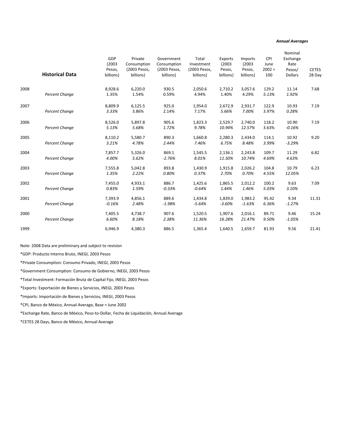### Annual Averages

|      | <b>Historical Data</b> | GDP<br>(2003)<br>Pesos,<br>billions) | Private<br>Consumption<br>(2003 Pesos,<br>billions) | Government<br>Consumption<br>(2003 Pesos,<br>billions) | Total<br>Investment<br>(2003 Pesos,<br>billions) | Exports<br>(2003)<br>Pesos,<br>billions) | Imports<br>(2003)<br>Pesos,<br>billions) | CPI<br>June<br>$2002 =$<br>100 | Nominal<br>Exchange<br>Rate<br>Pesos/<br><b>Dollars</b> | <b>CETES</b><br>28 Day |
|------|------------------------|--------------------------------------|-----------------------------------------------------|--------------------------------------------------------|--------------------------------------------------|------------------------------------------|------------------------------------------|--------------------------------|---------------------------------------------------------|------------------------|
| 2008 | <b>Percent Change</b>  | 8,928.6<br>1.35%                     | 6,220.0<br>1.54%                                    | 930.5<br>0.59%                                         | 2,050.6<br>4.94%                                 | 2,710.2<br>1.40%                         | 3,057.6<br>4.29%                         | 129.2<br>5.13%                 | 11.14<br>1.92%                                          | 7.68                   |
| 2007 | Percent Change         | 8,809.9<br>3.33%                     | 6,125.5<br>3.86%                                    | 925.0<br>2.14%                                         | 1,954.0<br>7.17%                                 | 2,672.9<br>5.66%                         | 2,931.7<br>7.00%                         | 122.9<br>3.97%                 | 10.93<br>0.28%                                          | 7.19                   |
| 2006 | Percent Change         | 8,526.0<br>5.13%                     | 5,897.8<br>5.68%                                    | 905.6<br>1.72%                                         | 1,823.3<br>9.78%                                 | 2,529.7<br>10.94%                        | 2,740.0<br>12.57%                        | 118.2<br>3.63%                 | 10.90<br>$-0.16%$                                       | 7.19                   |
| 2005 | Percent Change         | 8,110.2<br>3.21%                     | 5,580.7<br>4.78%                                    | 890.3<br>2.44%                                         | 1,660.8<br>7.46%                                 | 2,280.3<br>6.75%                         | 2,434.0<br>8.48%                         | 114.1<br>3.99%                 | 10.92<br>$-3.29%$                                       | 9.20                   |
| 2004 | <b>Percent Change</b>  | 7,857.7<br>4.00%                     | 5,326.0<br>5.62%                                    | 869.1<br>$-2.76%$                                      | 1,545.5<br>8.01%                                 | 2,136.1<br>11.50%                        | 2,243.8<br>10.74%                        | 109.7<br>4.69%                 | 11.29<br>4.63%                                          | 6.82                   |
| 2003 | <b>Percent Change</b>  | 7,555.8<br>1.35%                     | 5,042.8<br>2.22%                                    | 893.8<br>0.80%                                         | 1,430.9<br>0.37%                                 | 1,915.8<br>2.70%                         | 2,026.2<br>0.70%                         | 104.8<br>4.55%                 | 10.79<br>12.05%                                         | 6.23                   |
| 2002 | Percent Change         | 7,455.0<br>0.83%                     | 4,933.1<br>1.59%                                    | 886.7<br>$-0.33%$                                      | 1,425.6<br>$-0.64%$                              | 1,865.5<br>1.44%                         | 2,012.2<br>1.46%                         | 100.2<br>5.03%                 | 9.63<br>3.10%                                           | 7.09                   |
| 2001 | Percent Change         | 7,393.9<br>$-0.16%$                  | 4,856.1<br>2.48%                                    | 889.6<br>$-1.98%$                                      | 1,434.8<br>$-5.64%$                              | 1,839.0<br>$-3.60%$                      | 1,983.2<br>$-1.63%$                      | 95.42<br>6.36%                 | 9.34<br>$-1.27%$                                        | 11.31                  |
| 2000 | Percent Change         | 7,405.5<br>6.60%                     | 4,738.7<br>8.18%                                    | 907.6<br>2.38%                                         | 1,520.5<br>11.36%                                | 1,907.6<br>16.28%                        | 2,016.1<br>21.47%                        | 89.71<br>9.50%                 | 9.46<br>$-1.05%$                                        | 15.24                  |
| 1999 |                        | 6,946.9                              | 4,380.3                                             | 886.5                                                  | 1,365.4                                          | 1,640.5                                  | 1,659.7                                  | 81.93                          | 9.56                                                    | 21.41                  |

Note: 2008 Data are preliminary and subject to revision

\*GDP: Producto Interno Bruto, INEGI, 2003 Pesos

\*Private Consumption: Consumo Privado, INEGI, 2003 Pesos

\*Government Consumption: Consumo de Gobierno, INEGI, 2003 Pesos

\*Total Investment: Formación Bruta de Capital Fijo, INEGI, 2003 Pesos

\*Exports: Exportación de Bienes y Servicios, INEGI, 2003 Pesos

\*Imports: Importación de Bienes y Servicios, INEGI, 2003 Pesos

\*CPI, Banco de México, Annual Average, Base = June 2002

\*Exchange Rate, Banco de México, Peso-to-Dollar, Fecha de Liquidación, Annual Average

\*CETES 28 Days, Banco de México, Annual Average